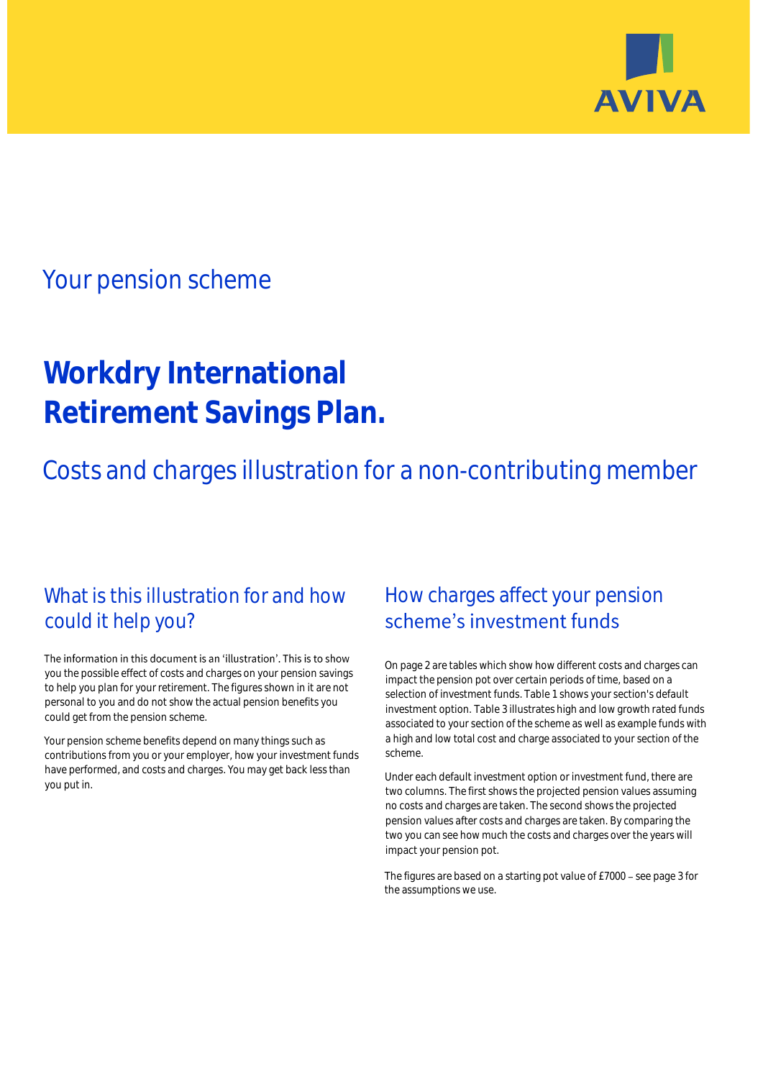

# Your pension scheme

# **Workdry International Retirement Savings Plan.**

Costs and charges illustration for a non-contributing member

## What is this illustration for and how could it help you?

### The information in this document is an 'illustration'. This is to show you the possible effect of costs and charges on your pension savings to help you plan for your retirement. The figures shown in it are not personal to you and do not show the actual pension benefits you could get from the pension scheme.

Your pension scheme benefits depend on many things such as contributions from you or your employer, how your investment funds have performed, and costs and charges. You may get back less than you put in.

# How charges affect your pension scheme's investment funds

On page 2 are tables which show how different costs and charges can impact the pension pot over certain periods of time, based on a selection of investment funds. Table 1 shows your section's default investment option. Table 3 illustrates high and low growth rated funds associated to your section of the scheme as well as example funds with a high and low total cost and charge associated to your section of the scheme.

Under each default investment option or investment fund, there are two columns. The first shows the projected pension values assuming no costs and charges are taken. The second shows the projected pension values after costs and charges are taken. By comparing the two you can see how much the costs and charges over the years will impact your pension pot.

The figures are based on a starting pot value of £7000 - see page 3 for the assumptions we use.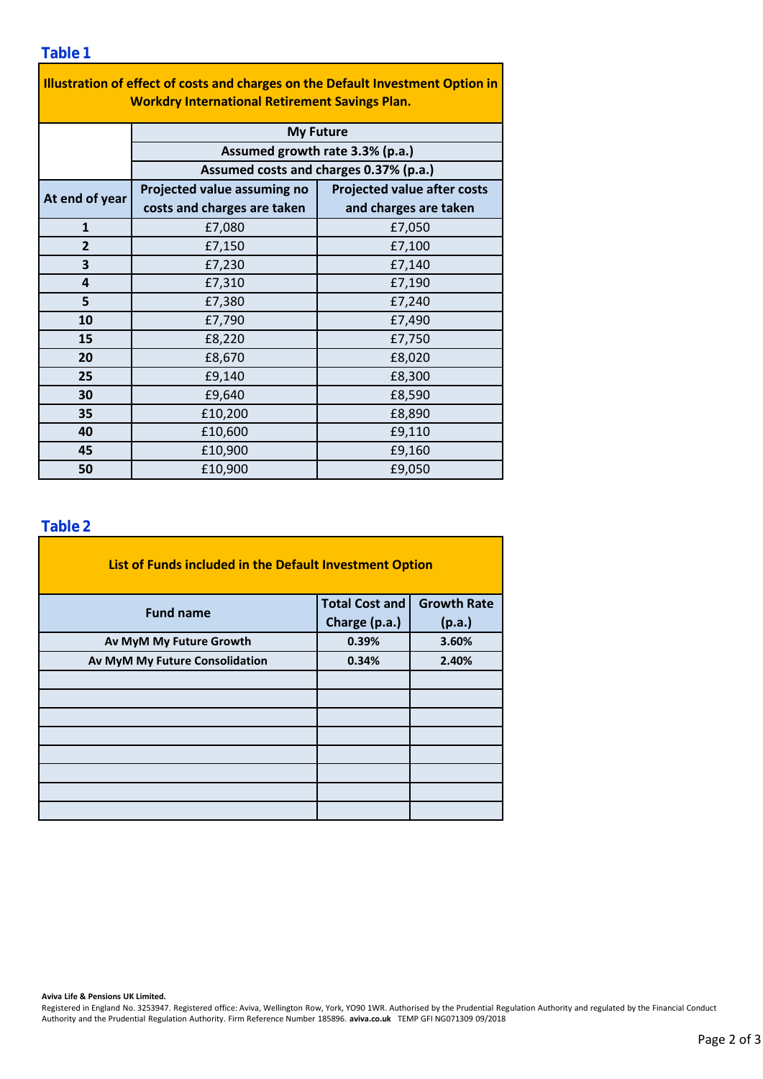| Illustration of effect of costs and charges on the Default Investment Option in<br><b>Workdry International Retirement Savings Plan.</b> |                                                                                               |                                    |  |  |  |  |  |  |
|------------------------------------------------------------------------------------------------------------------------------------------|-----------------------------------------------------------------------------------------------|------------------------------------|--|--|--|--|--|--|
|                                                                                                                                          | <b>My Future</b><br>Assumed growth rate 3.3% (p.a.)<br>Assumed costs and charges 0.37% (p.a.) |                                    |  |  |  |  |  |  |
|                                                                                                                                          |                                                                                               |                                    |  |  |  |  |  |  |
|                                                                                                                                          |                                                                                               |                                    |  |  |  |  |  |  |
| At end of year                                                                                                                           | Projected value assuming no                                                                   | <b>Projected value after costs</b> |  |  |  |  |  |  |
|                                                                                                                                          | costs and charges are taken                                                                   | and charges are taken              |  |  |  |  |  |  |
| $\mathbf{1}$                                                                                                                             | £7,080                                                                                        | £7,050                             |  |  |  |  |  |  |
| $\overline{2}$                                                                                                                           | £7,150                                                                                        | £7,100                             |  |  |  |  |  |  |
| 3                                                                                                                                        | £7,230                                                                                        | £7,140                             |  |  |  |  |  |  |
| 4                                                                                                                                        | £7,310                                                                                        | £7,190                             |  |  |  |  |  |  |
| 5                                                                                                                                        | £7,380                                                                                        | £7,240                             |  |  |  |  |  |  |
| 10                                                                                                                                       | £7,790                                                                                        | £7,490                             |  |  |  |  |  |  |
| 15                                                                                                                                       | £8,220                                                                                        | £7,750                             |  |  |  |  |  |  |
| 20                                                                                                                                       | £8,670                                                                                        | £8,020                             |  |  |  |  |  |  |
| 25                                                                                                                                       | £9,140                                                                                        | £8,300                             |  |  |  |  |  |  |
| 30                                                                                                                                       | £9,640                                                                                        | £8,590                             |  |  |  |  |  |  |
| 35                                                                                                                                       | £10,200                                                                                       | £8,890                             |  |  |  |  |  |  |
| 40                                                                                                                                       | £10,600                                                                                       | £9,110                             |  |  |  |  |  |  |
| 45                                                                                                                                       | £10,900                                                                                       | £9,160                             |  |  |  |  |  |  |
| 50                                                                                                                                       | £10,900                                                                                       | £9,050                             |  |  |  |  |  |  |

### **Table 2**

| List of Funds included in the Default Investment Option |                       |                    |  |  |  |  |  |  |
|---------------------------------------------------------|-----------------------|--------------------|--|--|--|--|--|--|
| <b>Fund name</b>                                        | <b>Total Cost and</b> | <b>Growth Rate</b> |  |  |  |  |  |  |
|                                                         | Charge (p.a.)         | (p.a.)             |  |  |  |  |  |  |
| Av MyM My Future Growth                                 | 0.39%                 | 3.60%              |  |  |  |  |  |  |
| Av MyM My Future Consolidation                          | 0.34%                 | 2.40%              |  |  |  |  |  |  |
|                                                         |                       |                    |  |  |  |  |  |  |
|                                                         |                       |                    |  |  |  |  |  |  |
|                                                         |                       |                    |  |  |  |  |  |  |
|                                                         |                       |                    |  |  |  |  |  |  |
|                                                         |                       |                    |  |  |  |  |  |  |
|                                                         |                       |                    |  |  |  |  |  |  |
|                                                         |                       |                    |  |  |  |  |  |  |
|                                                         |                       |                    |  |  |  |  |  |  |

#### **Aviva Life & Pensions UK Limited.**

Registered in England No. 3253947. Registered office: Aviva, Wellington Row, York, YO90 1WR. Authorised by the Prudential Regulation Authority and regulated by the Financial Conduct Authority and the Prudential Regulation Authority. Firm Reference Number 185896. **aviva.co.uk** TEMP GFI NG071309 09/2018